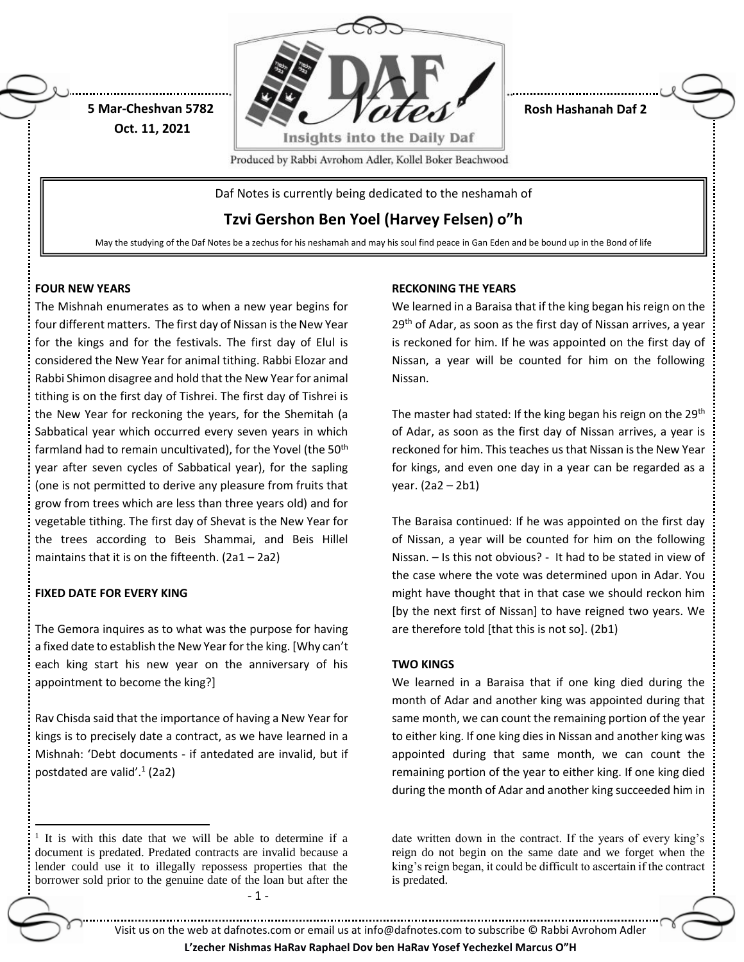

**Rosh Hashanah Daf 2**

Produced by Rabbi Avrohom Adler, Kollel Boker Beachwood

Daf Notes is currently being dedicated to the neshamah of

**Tzvi Gershon Ben Yoel (Harvey Felsen) o"h**

May the studying of the Daf Notes be a zechus for his neshamah and may his soul find peace in Gan Eden and be bound up in the Bond of life

## **FOUR NEW YEARS**

**5 Mar-Cheshvan 5782 Oct. 11, 2021**

The Mishnah enumerates as to when a new year begins for four different matters. The first day of Nissan is the New Year for the kings and for the festivals. The first day of Elul is considered the New Year for animal tithing. Rabbi Elozar and Rabbi Shimon disagree and hold that the New Year for animal tithing is on the first day of Tishrei. The first day of Tishrei is the New Year for reckoning the years, for the Shemitah (a Sabbatical year which occurred every seven years in which farmland had to remain uncultivated), for the Yovel (the 50<sup>th</sup> year after seven cycles of Sabbatical year), for the sapling (one is not permitted to derive any pleasure from fruits that grow from trees which are less than three years old) and for vegetable tithing. The first day of Shevat is the New Year for the trees according to Beis Shammai, and Beis Hillel maintains that it is on the fifteenth. (2a1 – 2a2)

## **FIXED DATE FOR EVERY KING**

 $\overline{a}$ 

The Gemora inquires as to what was the purpose for having a fixed date to establish the New Year for the king. [Why can't each king start his new year on the anniversary of his appointment to become the king?]

Rav Chisda said that the importance of having a New Year for kings is to precisely date a contract, as we have learned in a Mishnah: 'Debt documents - if antedated are invalid, but if postdated are valid'.<sup>1</sup> (2a2)

# **RECKONING THE YEARS**

We learned in a Baraisa that if the king began his reign on the 29<sup>th</sup> of Adar, as soon as the first day of Nissan arrives, a year is reckoned for him. If he was appointed on the first day of Nissan, a year will be counted for him on the following Nissan.

The master had stated: If the king began his reign on the 29<sup>th</sup> of Adar, as soon as the first day of Nissan arrives, a year is reckoned for him. This teaches us that Nissan is the New Year for kings, and even one day in a year can be regarded as a year. (2a2 – 2b1)

The Baraisa continued: If he was appointed on the first day of Nissan, a year will be counted for him on the following Nissan. – Is this not obvious? - It had to be stated in view of the case where the vote was determined upon in Adar. You might have thought that in that case we should reckon him [by the next first of Nissan] to have reigned two years. We are therefore told [that this is not so]. (2b1)

# **TWO KINGS**

We learned in a Baraisa that if one king died during the month of Adar and another king was appointed during that same month, we can count the remaining portion of the year to either king. If one king dies in Nissan and another king was appointed during that same month, we can count the remaining portion of the year to either king. If one king died during the month of Adar and another king succeeded him in

<sup>1</sup> It is with this date that we will be able to determine if a document is predated. Predated contracts are invalid because a lender could use it to illegally repossess properties that the borrower sold prior to the genuine date of the loan but after the

date written down in the contract. If the years of every king's reign do not begin on the same date and we forget when the king's reign began, it could be difficult to ascertain if the contract is predated.

- 1 -

Visit us on the web at dafnotes.com or email us at [info@dafnotes.com](mailto:info@dafnotes.com) to subscribe © Rabbi Avrohom Adler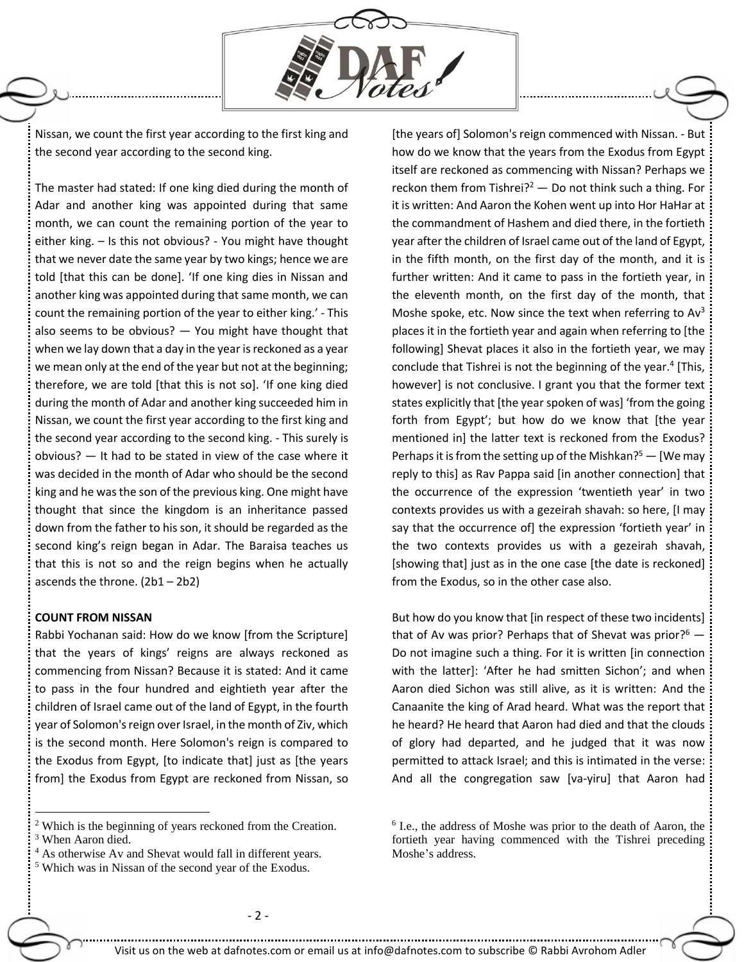

Nissan, we count the first year according to the first king and the second year according to the second king.

The master had stated: If one king died during the month of Adar and another king was appointed during that same month, we can count the remaining portion of the year to either king. – Is this not obvious? - You might have thought that we never date the same year by two kings; hence we are told [that this can be done]. 'If one king dies in Nissan and another king was appointed during that same month, we can count the remaining portion of the year to either king.' - This also seems to be obvious? — You might have thought that when we lay down that a day in the year is reckoned as a year we mean only at the end of the year but not at the beginning; therefore, we are told [that this is not so]. 'If one king died during the month of Adar and another king succeeded him in Nissan, we count the first year according to the first king and the second year according to the second king. - This surely is obvious? — It had to be stated in view of the case where it was decided in the month of Adar who should be the second king and he was the son of the previous king. One might have thought that since the kingdom is an inheritance passed down from the father to his son, it should be regarded as the second king's reign began in Adar. The Baraisa teaches us that this is not so and the reign begins when he actually ascends the throne. (2b1 – 2b2)

#### **COUNT FROM NISSAN**

 $\overline{a}$ 

Rabbi Yochanan said: How do we know [from the Scripture] that the years of kings' reigns are always reckoned as commencing from Nissan? Because it is stated: And it came to pass in the four hundred and eightieth year after the children of Israel came out of the land of Egypt, in the fourth year of Solomon's reign over Israel, in the month of Ziv, which is the second month. Here Solomon's reign is compared to the Exodus from Egypt, [to indicate that] just as [the years from] the Exodus from Egypt are reckoned from Nissan, so

<sup>4</sup> As otherwise Av and Shevat would fall in different years.

[the years of] Solomon's reign commenced with Nissan. - But how do we know that the years from the Exodus from Egypt itself are reckoned as commencing with Nissan? Perhaps we reckon them from Tishrei? $2 - Do$  not think such a thing. For it is written: And Aaron the Kohen went up into Hor HaHar at the commandment of Hashem and died there, in the fortieth year after the children of Israel came out of the land of Egypt, in the fifth month, on the first day of the month, and it is further written: And it came to pass in the fortieth year, in the eleventh month, on the first day of the month, that Moshe spoke, etc. Now since the text when referring to Av<sup>3</sup> places it in the fortieth year and again when referring to [the following] Shevat places it also in the fortieth year, we may conclude that Tishrei is not the beginning of the year.<sup>4</sup> [This, however] is not conclusive. I grant you that the former text states explicitly that [the year spoken of was] 'from the going forth from Egypt'; but how do we know that [the year mentioned in] the latter text is reckoned from the Exodus? Perhaps it is from the setting up of the Mishkan?<sup>5</sup> — [We may reply to this] as Rav Pappa said [in another connection] that the occurrence of the expression 'twentieth year' in two contexts provides us with a gezeirah shavah: so here, [I may say that the occurrence of] the expression 'fortieth year' in the two contexts provides us with a gezeirah shavah, [showing that] just as in the one case [the date is reckoned] from the Exodus, so in the other case also.

But how do you know that [in respect of these two incidents] that of Av was prior? Perhaps that of Shevat was prior? $6 -$ Do not imagine such a thing. For it is written [in connection with the latter]: 'After he had smitten Sichon'; and when Aaron died Sichon was still alive, as it is written: And the Canaanite the king of Arad heard. What was the report that he heard? He heard that Aaron had died and that the clouds of glory had departed, and he judged that it was now permitted to attack Israel; and this is intimated in the verse: And all the congregation saw [va-yiru] that Aaron had

<sup>2</sup> Which is the beginning of years reckoned from the Creation. <sup>3</sup> When Aaron died.

<sup>5</sup> Which was in Nissan of the second year of the Exodus.

<sup>6</sup> I.e., the address of Moshe was prior to the death of Aaron, the fortieth year having commenced with the Tishrei preceding Moshe's address.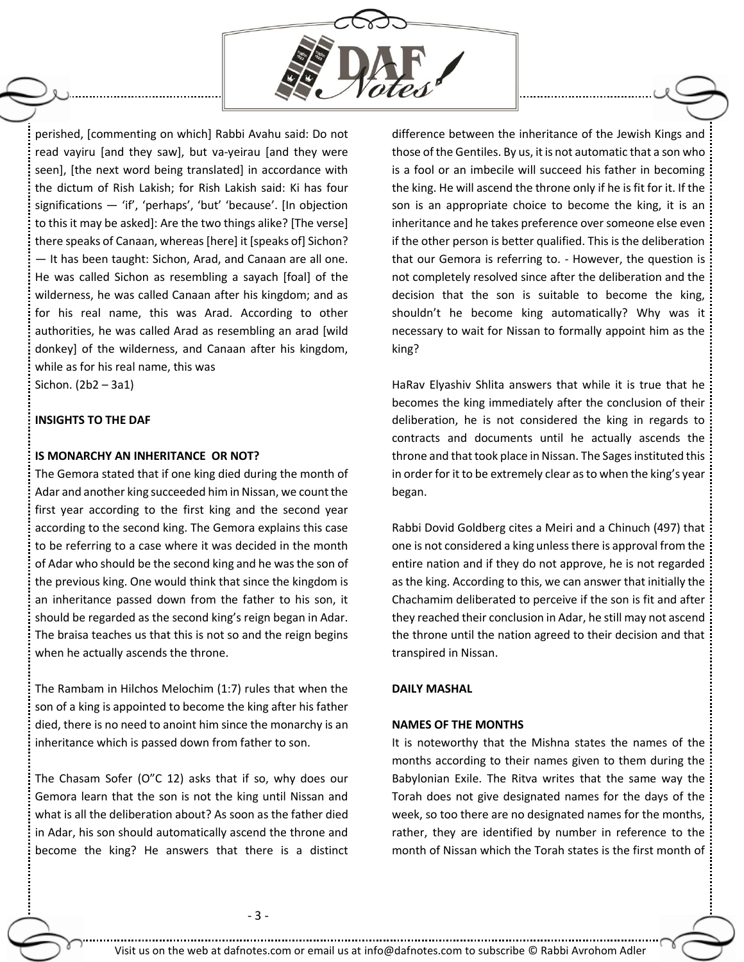

perished, [commenting on which] Rabbi Avahu said: Do not read vayiru [and they saw], but va-yeirau [and they were seen], [the next word being translated] in accordance with the dictum of Rish Lakish; for Rish Lakish said: Ki has four significations — 'if', 'perhaps', 'but' 'because'. [In objection to this it may be asked]: Are the two things alike? [The verse] there speaks of Canaan, whereas [here] it [speaks of] Sichon? — It has been taught: Sichon, Arad, and Canaan are all one. He was called Sichon as resembling a sayach [foal] of the wilderness, he was called Canaan after his kingdom; and as for his real name, this was Arad. According to other authorities, he was called Arad as resembling an arad [wild donkey] of the wilderness, and Canaan after his kingdom, while as for his real name, this was

Sichon. (2b2 – 3a1)

## **INSIGHTS TO THE DAF**

#### **IS MONARCHY AN INHERITANCE OR NOT?**

The Gemora stated that if one king died during the month of Adar and another king succeeded him in Nissan, we count the first year according to the first king and the second year according to the second king. The Gemora explains this case to be referring to a case where it was decided in the month of Adar who should be the second king and he was the son of the previous king. One would think that since the kingdom is an inheritance passed down from the father to his son, it should be regarded as the second king's reign began in Adar. The braisa teaches us that this is not so and the reign begins when he actually ascends the throne.

The Rambam in Hilchos Melochim (1:7) rules that when the son of a king is appointed to become the king after his father died, there is no need to anoint him since the monarchy is an inheritance which is passed down from father to son.

The Chasam Sofer (O"C 12) asks that if so, why does our Gemora learn that the son is not the king until Nissan and what is all the deliberation about? As soon as the father died in Adar, his son should automatically ascend the throne and become the king? He answers that there is a distinct difference between the inheritance of the Jewish Kings and those of the Gentiles. By us, it is not automatic that a son who is a fool or an imbecile will succeed his father in becoming the king. He will ascend the throne only if he is fit for it. If the son is an appropriate choice to become the king, it is an inheritance and he takes preference over someone else even if the other person is better qualified. This is the deliberation that our Gemora is referring to. - However, the question is not completely resolved since after the deliberation and the decision that the son is suitable to become the king, shouldn't he become king automatically? Why was it necessary to wait for Nissan to formally appoint him as the king?

HaRav Elyashiv Shlita answers that while it is true that he becomes the king immediately after the conclusion of their deliberation, he is not considered the king in regards to contracts and documents until he actually ascends the throne and that took place in Nissan. The Sages instituted this in order for it to be extremely clear as to when the king's year began.

Rabbi Dovid Goldberg cites a Meiri and a Chinuch (497) that one is not considered a king unless there is approval from the entire nation and if they do not approve, he is not regarded as the king. According to this, we can answer that initially the Chachamim deliberated to perceive if the son is fit and after they reached their conclusion in Adar, he still may not ascend the throne until the nation agreed to their decision and that transpired in Nissan.

#### **DAILY MASHAL**

#### **NAMES OF THE MONTHS**

It is noteworthy that the Mishna states the names of the months according to their names given to them during the Babylonian Exile. The Ritva writes that the same way the Torah does not give designated names for the days of the week, so too there are no designated names for the months, rather, they are identified by number in reference to the month of Nissan which the Torah states is the first month of